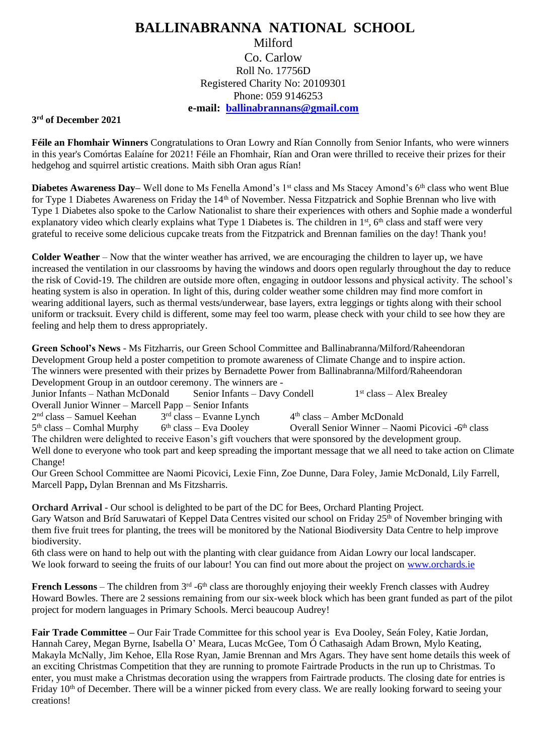## **BALLINABRANNA NATIONAL SCHOOL**

## Milford Co. Carlow Roll No. 17756D Registered Charity No: 20109301 Phone: 059 9146253 **e-mail: [ballinabrannans@gmail.com](mailto:ballinabrannans@gmail.com)**

## **3 rd of December 2021**

**Féile an Fhomhair Winners** Congratulations to Oran Lowry and Rían Connolly from Senior Infants, who were winners in this year's Comórtas Ealaíne for 2021! Féile an Fhomhair, Rían and Oran were thrilled to receive their prizes for their hedgehog and squirrel artistic creations. Maith sibh Oran agus Rían!

**Diabetes Awareness Day–** Well done to Ms Fenella Amond's 1<sup>st</sup> class and Ms Stacey Amond's 6<sup>th</sup> class who went Blue for Type 1 Diabetes Awareness on Friday the 14<sup>th</sup> of November. Nessa Fitzpatrick and Sophie Brennan who live with Type 1 Diabetes also spoke to the Carlow Nationalist to share their experiences with others and Sophie made a wonderful explanatory video which clearly explains what Type 1 Diabetes is. The children in 1<sup>st</sup>, 6<sup>th</sup> class and staff were very grateful to receive some delicious cupcake treats from the Fitzpatrick and Brennan families on the day! Thank you!

**Colder Weather** – Now that the winter weather has arrived, we are encouraging the children to layer up, we have increased the ventilation in our classrooms by having the windows and doors open regularly throughout the day to reduce the risk of Covid-19. The children are outside more often, engaging in outdoor lessons and physical activity. The school's heating system is also in operation. In light of this, during colder weather some children may find more comfort in wearing additional layers, such as thermal vests/underwear, base layers, extra leggings or tights along with their school uniform or tracksuit. Every child is different, some may feel too warm, please check with your child to see how they are feeling and help them to dress appropriately.

**Green School's News** - Ms Fitzharris, our Green School Committee and Ballinabranna/Milford/Raheendoran Development Group held a poster competition to promote awareness of Climate Change and to inspire action. The winners were presented with their prizes by Bernadette Power from Ballinabranna/Milford/Raheendoran Development Group in an outdoor ceremony. The winners are -

Junior Infants – Nathan McDonald Senior Infants – Davy Condell 1  $1<sup>st</sup> class – Alex Brealey$ Overall Junior Winner – Marcell Papp – Senior Infants 2 nd class – Samuel Keehan 3  $3<sup>rd</sup> class – Evanne Lynch$ <br>6<sup>th</sup> class – Eva Dooley  $4<sup>th</sup> class – Amber McDonald$ 5<sup>th</sup> class – Comhal Murphy 6 <sup>th</sup> class – Eva Dooley Overall Senior Winner – Naomi Picovici -6<sup>th</sup> class The children were delighted to receive Eason's gift vouchers that were sponsored by the development group. Well done to everyone who took part and keep spreading the important message that we all need to take action on Climate

Change!

Our Green School Committee are Naomi Picovici, Lexie Finn, Zoe Dunne, Dara Foley, Jamie McDonald, Lily Farrell, Marcell Papp**,** Dylan Brennan and Ms Fitzsharris.

**Orchard Arrival -** Our school is delighted to be part of the DC for Bees, Orchard Planting Project. Gary Watson and Bríd Saruwatari of Keppel Data Centres visited our school on Friday 25<sup>th</sup> of November bringing with them five fruit trees for planting, the trees will be monitored by the National Biodiversity Data Centre to help improve biodiversity.

6th class were on hand to help out with the planting with clear guidance from Aidan Lowry our local landscaper. We look forward to seeing the fruits of our labour! You can find out more about the project on [www.orchards.ie](http://www.orchards.ie/)

**French Lessons** – The children from  $3<sup>rd</sup>$  -6<sup>th</sup> class are thoroughly enjoying their weekly French classes with Audrey Howard Bowles. There are 2 sessions remaining from our six-week block which has been grant funded as part of the pilot project for modern languages in Primary Schools. Merci beaucoup Audrey!

**Fair Trade Committee –** Our Fair Trade Committee for this school year is Eva Dooley, Seán Foley, Katie Jordan, Hannah Carey, Megan Byrne, Isabella O' Meara, Lucas McGee, Tom Ó Cathasaigh Adam Brown, Mylo Keating, Makayla McNally, Jim Kehoe, Ella Rose Ryan, Jamie Brennan and Mrs Agars. They have sent home details this week of an exciting Christmas Competition that they are running to promote Fairtrade Products in the run up to Christmas. To enter, you must make a Christmas decoration using the wrappers from Fairtrade products. The closing date for entries is Friday 10<sup>th</sup> of December. There will be a winner picked from every class. We are really looking forward to seeing your creations!